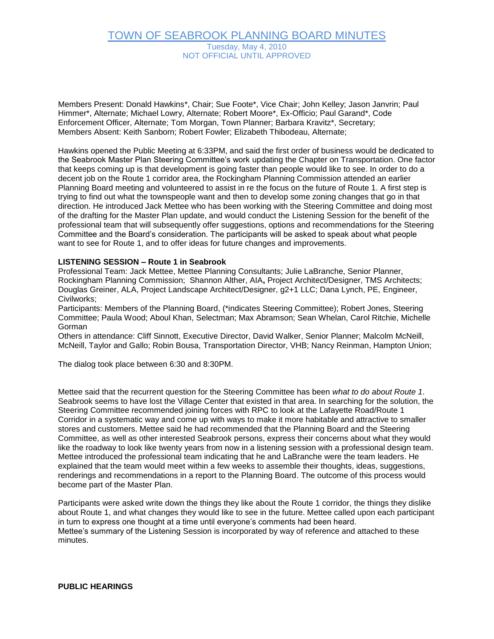## TOWN OF SEABROOK PLANNING BOARD MINUTES Tuesday, May 4, 2010 NOT OFFICIAL UNTIL APPROVED

Members Present: Donald Hawkins\*, Chair; Sue Foote\*, Vice Chair; John Kelley; Jason Janvrin; Paul Himmer\*, Alternate; Michael Lowry, Alternate; Robert Moore\*, Ex-Officio; Paul Garand\*, Code Enforcement Officer, Alternate; Tom Morgan, Town Planner; Barbara Kravitz\*, Secretary; Members Absent: Keith Sanborn; Robert Fowler; Elizabeth Thibodeau, Alternate;

Hawkins opened the Public Meeting at 6:33PM, and said the first order of business would be dedicated to the Seabrook Master Plan Steering Committee's work updating the Chapter on Transportation. One factor that keeps coming up is that development is going faster than people would like to see. In order to do a decent job on the Route 1 corridor area, the Rockingham Planning Commission attended an earlier Planning Board meeting and volunteered to assist in re the focus on the future of Route 1. A first step is trying to find out what the townspeople want and then to develop some zoning changes that go in that direction. He introduced Jack Mettee who has been working with the Steering Committee and doing most of the drafting for the Master Plan update, and would conduct the Listening Session for the benefit of the professional team that will subsequently offer suggestions, options and recommendations for the Steering Committee and the Board's consideration. The participants will be asked to speak about what people want to see for Route 1, and to offer ideas for future changes and improvements.

#### **LISTENING SESSION – Route 1 in Seabrook**

Professional Team: Jack Mettee, Mettee Planning Consultants; Julie LaBranche, Senior Planner, Rockingham Planning Commission; Shannon Alther, AIA**,** Project Architect/Designer, TMS Architects; Douglas Greiner, ALA, Project Landscape Architect/Designer, g2+1 LLC; Dana Lynch, PE, Engineer, Civilworks;

Participants: Members of the Planning Board, (\*indicates Steering Committee); Robert Jones, Steering Committee; Paula Wood; Aboul Khan, Selectman; Max Abramson; Sean Whelan, Carol Ritchie, Michelle Gorman

Others in attendance: Cliff Sinnott, Executive Director, David Walker, Senior Planner; Malcolm McNeill, McNeill, Taylor and Gallo; Robin Bousa, Transportation Director, VHB; Nancy Reinman, Hampton Union;

The dialog took place between 6:30 and 8:30PM.

Mettee said that the recurrent question for the Steering Committee has been *what to do about Route 1*. Seabrook seems to have lost the Village Center that existed in that area. In searching for the solution, the Steering Committee recommended joining forces with RPC to look at the Lafayette Road/Route 1 Corridor in a systematic way and come up with ways to make it more habitable and attractive to smaller stores and customers. Mettee said he had recommended that the Planning Board and the Steering Committee, as well as other interested Seabrook persons, express their concerns about what they would like the roadway to look like twenty years from now in a listening session with a professional design team. Mettee introduced the professional team indicating that he and LaBranche were the team leaders. He explained that the team would meet within a few weeks to assemble their thoughts, ideas, suggestions, renderings and recommendations in a report to the Planning Board. The outcome of this process would become part of the Master Plan.

Participants were asked write down the things they like about the Route 1 corridor, the things they dislike about Route 1, and what changes they would like to see in the future. Mettee called upon each participant in turn to express one thought at a time until everyone's comments had been heard. Mettee's summary of the Listening Session is incorporated by way of reference and attached to these minutes.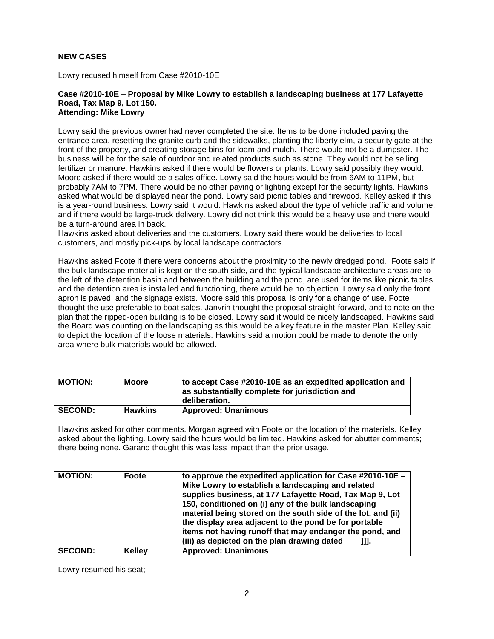#### **NEW CASES**

Lowry recused himself from Case #2010-10E

#### **Case #2010-10E – Proposal by Mike Lowry to establish a landscaping business at 177 Lafayette Road, Tax Map 9, Lot 150. Attending: Mike Lowry**

Lowry said the previous owner had never completed the site. Items to be done included paving the entrance area, resetting the granite curb and the sidewalks, planting the liberty elm, a security gate at the front of the property, and creating storage bins for loam and mulch. There would not be a dumpster. The business will be for the sale of outdoor and related products such as stone. They would not be selling fertilizer or manure. Hawkins asked if there would be flowers or plants. Lowry said possibly they would. Moore asked if there would be a sales office. Lowry said the hours would be from 6AM to 11PM, but probably 7AM to 7PM. There would be no other paving or lighting except for the security lights. Hawkins asked what would be displayed near the pond. Lowry said picnic tables and firewood. Kelley asked if this is a year-round business. Lowry said it would. Hawkins asked about the type of vehicle traffic and volume, and if there would be large-truck delivery. Lowry did not think this would be a heavy use and there would be a turn-around area in back.

Hawkins asked about deliveries and the customers. Lowry said there would be deliveries to local customers, and mostly pick-ups by local landscape contractors.

Hawkins asked Foote if there were concerns about the proximity to the newly dredged pond. Foote said if the bulk landscape material is kept on the south side, and the typical landscape architecture areas are to the left of the detention basin and between the building and the pond, are used for items like picnic tables, and the detention area is installed and functioning, there would be no objection. Lowry said only the front apron is paved, and the signage exists. Moore said this proposal is only for a change of use. Foote thought the use preferable to boat sales. Janvrin thought the proposal straight-forward, and to note on the plan that the ripped-open building is to be closed. Lowry said it would be nicely landscaped. Hawkins said the Board was counting on the landscaping as this would be a key feature in the master Plan. Kelley said to depict the location of the loose materials. Hawkins said a motion could be made to denote the only area where bulk materials would be allowed.

| <b>MOTION:</b> | <b>Moore</b>   | to accept Case #2010-10E as an expedited application and<br>as substantially complete for jurisdiction and<br>deliberation. |
|----------------|----------------|-----------------------------------------------------------------------------------------------------------------------------|
| <b>SECOND:</b> | <b>Hawkins</b> | <b>Approved: Unanimous</b>                                                                                                  |

Hawkins asked for other comments. Morgan agreed with Foote on the location of the materials. Kelley asked about the lighting. Lowry said the hours would be limited. Hawkins asked for abutter comments; there being none. Garand thought this was less impact than the prior usage.

| <b>MOTION:</b> | Foote         | to approve the expedited application for Case $\#2010-10E -$<br>Mike Lowry to establish a landscaping and related<br>supplies business, at 177 Lafayette Road, Tax Map 9, Lot<br>150, conditioned on (i) any of the bulk landscaping<br>material being stored on the south side of the lot, and (ii)<br>the display area adjacent to the pond be for portable<br>items not having runoff that may endanger the pond, and<br>(iii) as depicted on the plan drawing dated<br>Ш. |
|----------------|---------------|-------------------------------------------------------------------------------------------------------------------------------------------------------------------------------------------------------------------------------------------------------------------------------------------------------------------------------------------------------------------------------------------------------------------------------------------------------------------------------|
| <b>SECOND:</b> | <b>Kelley</b> | <b>Approved: Unanimous</b>                                                                                                                                                                                                                                                                                                                                                                                                                                                    |

Lowry resumed his seat;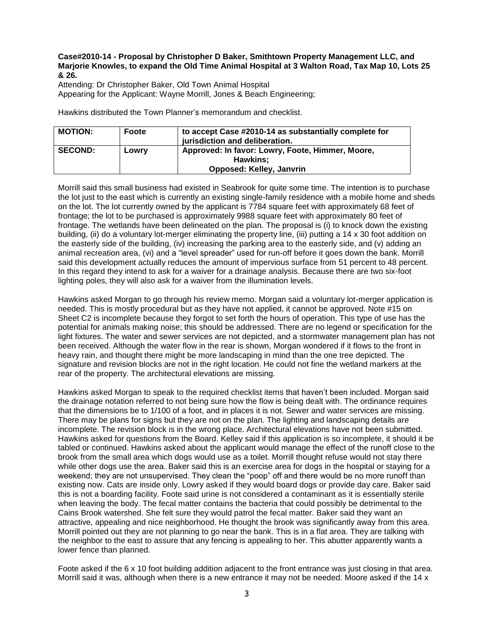#### **Case#2010-14 - Proposal by Christopher D Baker, Smithtown Property Management LLC, and Marjorie Knowles, to expand the Old Time Animal Hospital at 3 Walton Road, Tax Map 10, Lots 25 & 26.**

Attending: Dr Christopher Baker, Old Town Animal Hospital Appearing for the Applicant: Wayne Morrill, Jones & Beach Engineering;

Hawkins distributed the Town Planner's memorandum and checklist.

| <b>MOTION:</b> | Foote | to accept Case #2010-14 as substantially complete for<br>jurisdiction and deliberation.         |
|----------------|-------|-------------------------------------------------------------------------------------------------|
| <b>SECOND:</b> | Lowry | Approved: In favor: Lowry, Foote, Himmer, Moore,<br><b>Hawkins:</b><br>Opposed: Kelley, Janyrin |

Morrill said this small business had existed in Seabrook for quite some time. The intention is to purchase the lot just to the east which is currently an existing single-family residence with a mobile home and sheds on the lot. The lot currently owned by the applicant is 7784 square feet with approximately 68 feet of frontage; the lot to be purchased is approximately 9988 square feet with approximately 80 feet of frontage. The wetlands have been delineated on the plan. The proposal is (i) to knock down the existing building, (ii) do a voluntary lot-merger eliminating the property line, (iii) putting a 14 x 30 foot addition on the easterly side of the building, (iv) increasing the parking area to the easterly side, and (v) adding an animal recreation area, (vi) and a "level spreader" used for run-off before it goes down the bank. Morrill said this development actually reduces the amount of impervious surface from 51 percent to 48 percent. In this regard they intend to ask for a waiver for a drainage analysis. Because there are two six-foot lighting poles, they will also ask for a waiver from the illumination levels.

Hawkins asked Morgan to go through his review memo. Morgan said a voluntary lot-merger application is needed. This is mostly procedural but as they have not applied, it cannot be approved. Note #15 on Sheet C2 is incomplete because they forgot to set forth the hours of operation. This type of use has the potential for animals making noise; this should be addressed. There are no legend or specification for the light fixtures. The water and sewer services are not depicted, and a stormwater management plan has not been received. Although the water flow in the rear is shown, Morgan wondered if it flows to the front in heavy rain, and thought there might be more landscaping in mind than the one tree depicted. The signature and revision blocks are not in the right location. He could not fine the wetland markers at the rear of the property. The architectural elevations are missing.

Hawkins asked Morgan to speak to the required checklist items that haven't been included. Morgan said the drainage notation referred to not being sure how the flow is being dealt with. The ordinance requires that the dimensions be to 1/100 of a foot, and in places it is not. Sewer and water services are missing. There may be plans for signs but they are not on the plan. The lighting and landscaping details are incomplete. The revision block is in the wrong place. Architectural elevations have not been submitted. Hawkins asked for questions from the Board. Kelley said if this application is so incomplete, it should it be tabled or continued. Hawkins asked about the applicant would manage the effect of the runoff close to the brook from the small area which dogs would use as a toilet. Morrill thought refuse would not stay there while other dogs use the area. Baker said this is an exercise area for dogs in the hospital or staying for a weekend; they are not unsupervised. They clean the "poop" off and there would be no more runoff than existing now. Cats are inside only. Lowry asked if they would board dogs or provide day care. Baker said this is not a boarding facility. Foote said urine is not considered a contaminant as it is essentially sterile when leaving the body. The fecal matter contains the bacteria that could possibly be detrimental to the Cains Brook watershed. She felt sure they would patrol the fecal matter. Baker said they want an attractive, appealing and nice neighborhood. He thought the brook was significantly away from this area. Morrill pointed out they are not planning to go near the bank. This is in a flat area. They are talking with the neighbor to the east to assure that any fencing is appealing to her. This abutter apparently wants a lower fence than planned.

Foote asked if the 6 x 10 foot building addition adjacent to the front entrance was just closing in that area. Morrill said it was, although when there is a new entrance it may not be needed. Moore asked if the 14 x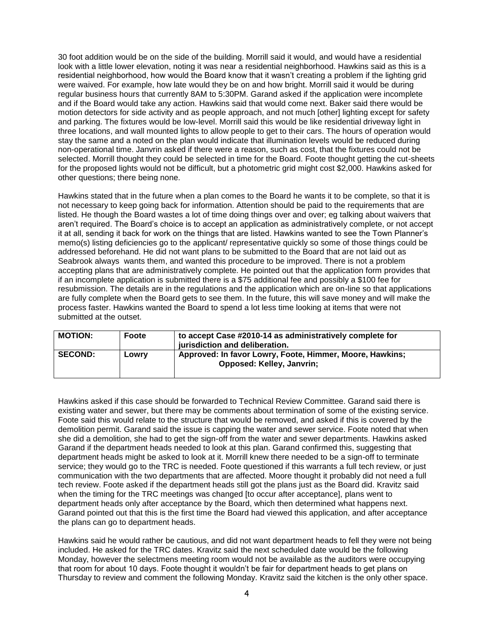30 foot addition would be on the side of the building. Morrill said it would, and would have a residential look with a little lower elevation, noting it was near a residential neighborhood. Hawkins said as this is a residential neighborhood, how would the Board know that it wasn't creating a problem if the lighting grid were waived. For example, how late would they be on and how bright. Morrill said it would be during regular business hours that currently 8AM to 5:30PM. Garand asked if the application were incomplete and if the Board would take any action. Hawkins said that would come next. Baker said there would be motion detectors for side activity and as people approach, and not much [other] lighting except for safety and parking. The fixtures would be low-level. Morrill said this would be like residential driveway light in three locations, and wall mounted lights to allow people to get to their cars. The hours of operation would stay the same and a noted on the plan would indicate that illumination levels would be reduced during non-operational time. Janvrin asked if there were a reason, such as cost, that the fixtures could not be selected. Morrill thought they could be selected in time for the Board. Foote thought getting the cut-sheets for the proposed lights would not be difficult, but a photometric grid might cost \$2,000. Hawkins asked for other questions; there being none.

Hawkins stated that in the future when a plan comes to the Board he wants it to be complete, so that it is not necessary to keep going back for information. Attention should be paid to the requirements that are listed. He though the Board wastes a lot of time doing things over and over; eg talking about waivers that aren't required. The Board's choice is to accept an application as administratively complete, or not accept it at all, sending it back for work on the things that are listed. Hawkins wanted to see the Town Planner's memo(s) listing deficiencies go to the applicant/ representative quickly so some of those things could be addressed beforehand. He did not want plans to be submitted to the Board that are not laid out as Seabrook always wants them, and wanted this procedure to be improved. There is not a problem accepting plans that are administratively complete. He pointed out that the application form provides that if an incomplete application is submitted there is a \$75 additional fee and possibly a \$100 fee for resubmission. The details are in the regulations and the application which are on-line so that applications are fully complete when the Board gets to see them. In the future, this will save money and will make the process faster. Hawkins wanted the Board to spend a lot less time looking at items that were not submitted at the outset.

| <b>MOTION:</b> | Foote | to accept Case #2010-14 as administratively complete for<br>jurisdiction and deliberation.   |
|----------------|-------|----------------------------------------------------------------------------------------------|
| <b>SECOND:</b> | Lowry | Approved: In favor Lowry, Foote, Himmer, Moore, Hawkins;<br><b>Opposed: Kelley, Janvrin;</b> |

Hawkins asked if this case should be forwarded to Technical Review Committee. Garand said there is existing water and sewer, but there may be comments about termination of some of the existing service. Foote said this would relate to the structure that would be removed, and asked if this is covered by the demolition permit. Garand said the issue is capping the water and sewer service. Foote noted that when she did a demolition, she had to get the sign-off from the water and sewer departments. Hawkins asked Garand if the department heads needed to look at this plan. Garand confirmed this, suggesting that department heads might be asked to look at it. Morrill knew there needed to be a sign-off to terminate service; they would go to the TRC is needed. Foote questioned if this warrants a full tech review, or just communication with the two departments that are affected. Moore thought it probably did not need a full tech review. Foote asked if the department heads still got the plans just as the Board did. Kravitz said when the timing for the TRC meetings was changed [to occur after acceptance], plans went to department heads only after acceptance by the Board, which then determined what happens next. Garand pointed out that this is the first time the Board had viewed this application, and after acceptance the plans can go to department heads.

Hawkins said he would rather be cautious, and did not want department heads to fell they were not being included. He asked for the TRC dates. Kravitz said the next scheduled date would be the following Monday, however the selectmens meeting room would not be available as the auditors were occupying that room for about 10 days. Foote thought it wouldn't be fair for department heads to get plans on Thursday to review and comment the following Monday. Kravitz said the kitchen is the only other space.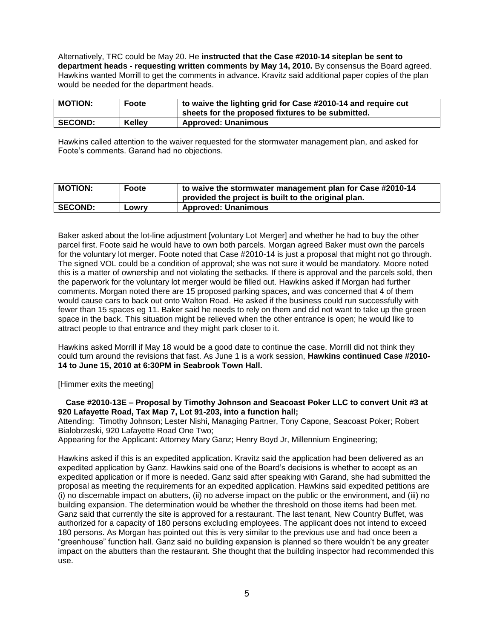Alternatively, TRC could be May 20. He **instructed that the Case #2010-14 siteplan be sent to department heads - requesting written comments by May 14, 2010.** By consensus the Board agreed. Hawkins wanted Morrill to get the comments in advance. Kravitz said additional paper copies of the plan would be needed for the department heads.

| <b>MOTION:</b> | Foote         | to waive the lighting grid for Case #2010-14 and require cut<br>sheets for the proposed fixtures to be submitted. |
|----------------|---------------|-------------------------------------------------------------------------------------------------------------------|
| <b>SECOND:</b> | <b>Kelley</b> | <b>Approved: Unanimous</b>                                                                                        |

Hawkins called attention to the waiver requested for the stormwater management plan, and asked for Foote's comments. Garand had no objections.

| <b>MOTION:</b> | Foote | to waive the stormwater management plan for Case #2010-14<br>provided the project is built to the original plan. |
|----------------|-------|------------------------------------------------------------------------------------------------------------------|
| <b>SECOND:</b> | LOWIV | <b>Approved: Unanimous</b>                                                                                       |

Baker asked about the lot-line adjustment [voluntary Lot Merger] and whether he had to buy the other parcel first. Foote said he would have to own both parcels. Morgan agreed Baker must own the parcels for the voluntary lot merger. Foote noted that Case #2010-14 is just a proposal that might not go through. The signed VOL could be a condition of approval; she was not sure it would be mandatory. Moore noted this is a matter of ownership and not violating the setbacks. If there is approval and the parcels sold, then the paperwork for the voluntary lot merger would be filled out. Hawkins asked if Morgan had further comments. Morgan noted there are 15 proposed parking spaces, and was concerned that 4 of them would cause cars to back out onto Walton Road. He asked if the business could run successfully with fewer than 15 spaces eg 11. Baker said he needs to rely on them and did not want to take up the green space in the back. This situation might be relieved when the other entrance is open; he would like to attract people to that entrance and they might park closer to it.

Hawkins asked Morrill if May 18 would be a good date to continue the case. Morrill did not think they could turn around the revisions that fast. As June 1 is a work session, **Hawkins continued Case #2010- 14 to June 15, 2010 at 6:30PM in Seabrook Town Hall.**

[Himmer exits the meeting]

**Case #2010-13E – Proposal by Timothy Johnson and Seacoast Poker LLC to convert Unit #3 at 920 Lafayette Road, Tax Map 7, Lot 91-203, into a function hall;**

Attending: Timothy Johnson; Lester Nishi, Managing Partner, Tony Capone, Seacoast Poker; Robert Bialobrzeski, 920 Lafayette Road One Two;

Appearing for the Applicant: Attorney Mary Ganz; Henry Boyd Jr, Millennium Engineering;

Hawkins asked if this is an expedited application. Kravitz said the application had been delivered as an expedited application by Ganz. Hawkins said one of the Board's decisions is whether to accept as an expedited application or if more is needed. Ganz said after speaking with Garand, she had submitted the proposal as meeting the requirements for an expedited application. Hawkins said expedited petitions are (i) no discernable impact on abutters, (ii) no adverse impact on the public or the environment, and (iii) no building expansion. The determination would be whether the threshold on those items had been met. Ganz said that currently the site is approved for a restaurant. The last tenant, New Country Buffet, was authorized for a capacity of 180 persons excluding employees. The applicant does not intend to exceed 180 persons. As Morgan has pointed out this is very similar to the previous use and had once been a "greenhouse" function hall. Ganz said no building expansion is planned so there wouldn't be any greater impact on the abutters than the restaurant. She thought that the building inspector had recommended this use.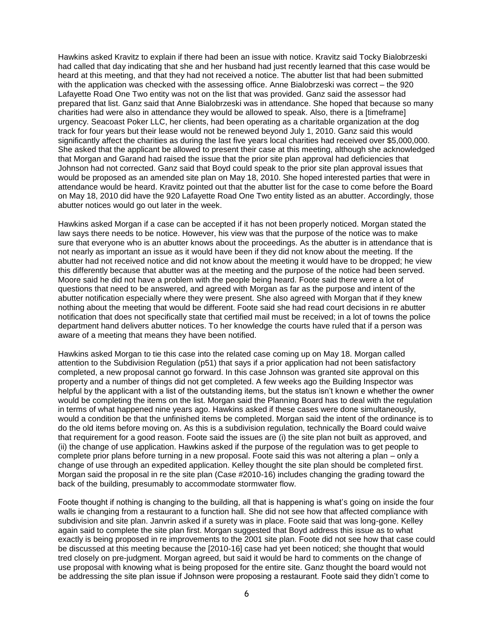Hawkins asked Kravitz to explain if there had been an issue with notice. Kravitz said Tocky Bialobrzeski had called that day indicating that she and her husband had just recently learned that this case would be heard at this meeting, and that they had not received a notice. The abutter list that had been submitted with the application was checked with the assessing office. Anne Bialobrzeski was correct – the 920 Lafayette Road One Two entity was not on the list that was provided. Ganz said the assessor had prepared that list. Ganz said that Anne Bialobrzeski was in attendance. She hoped that because so many charities had were also in attendance they would be allowed to speak. Also, there is a [timeframe] urgency. Seacoast Poker LLC, her clients, had been operating as a charitable organization at the dog track for four years but their lease would not be renewed beyond July 1, 2010. Ganz said this would significantly affect the charities as during the last five years local charities had received over \$5,000,000. She asked that the applicant be allowed to present their case at this meeting, although she acknowledged that Morgan and Garand had raised the issue that the prior site plan approval had deficiencies that Johnson had not corrected. Ganz said that Boyd could speak to the prior site plan approval issues that would be proposed as an amended site plan on May 18, 2010. She hoped interested parties that were in attendance would be heard. Kravitz pointed out that the abutter list for the case to come before the Board on May 18, 2010 did have the 920 Lafayette Road One Two entity listed as an abutter. Accordingly, those abutter notices would go out later in the week.

Hawkins asked Morgan if a case can be accepted if it has not been properly noticed. Morgan stated the law says there needs to be notice. However, his view was that the purpose of the notice was to make sure that everyone who is an abutter knows about the proceedings. As the abutter is in attendance that is not nearly as important an issue as it would have been if they did not know about the meeting. If the abutter had not received notice and did not know about the meeting it would have to be dropped; he view this differently because that abutter was at the meeting and the purpose of the notice had been served. Moore said he did not have a problem with the people being heard. Foote said there were a lot of questions that need to be answered, and agreed with Morgan as far as the purpose and intent of the abutter notification especially where they were present. She also agreed with Morgan that if they knew nothing about the meeting that would be different. Foote said she had read court decisions in re abutter notification that does not specifically state that certified mail must be received; in a lot of towns the police department hand delivers abutter notices. To her knowledge the courts have ruled that if a person was aware of a meeting that means they have been notified.

Hawkins asked Morgan to tie this case into the related case coming up on May 18. Morgan called attention to the Subdivision Regulation (p51) that says if a prior application had not been satisfactory completed, a new proposal cannot go forward. In this case Johnson was granted site approval on this property and a number of things did not get completed. A few weeks ago the Building Inspector was helpful by the applicant with a list of the outstanding items, but the status isn't known e whether the owner would be completing the items on the list. Morgan said the Planning Board has to deal with the regulation in terms of what happened nine years ago. Hawkins asked if these cases were done simultaneously, would a condition be that the unfinished items be completed. Morgan said the intent of the ordinance is to do the old items before moving on. As this is a subdivision regulation, technically the Board could waive that requirement for a good reason. Foote said the issues are (i) the site plan not built as approved, and (ii) the change of use application. Hawkins asked if the purpose of the regulation was to get people to complete prior plans before turning in a new proposal. Foote said this was not altering a plan – only a change of use through an expedited application. Kelley thought the site plan should be completed first. Morgan said the proposal in re the site plan (Case #2010-16) includes changing the grading toward the back of the building, presumably to accommodate stormwater flow.

Foote thought if nothing is changing to the building, all that is happening is what's going on inside the four walls ie changing from a restaurant to a function hall. She did not see how that affected compliance with subdivision and site plan. Janvrin asked if a surety was in place. Foote said that was long-gone. Kelley again said to complete the site plan first. Morgan suggested that Boyd address this issue as to what exactly is being proposed in re improvements to the 2001 site plan. Foote did not see how that case could be discussed at this meeting because the [2010-16] case had yet been noticed; she thought that would tred closely on pre-judgment. Morgan agreed, but said it would be hard to comments on the change of use proposal with knowing what is being proposed for the entire site. Ganz thought the board would not be addressing the site plan issue if Johnson were proposing a restaurant. Foote said they didn't come to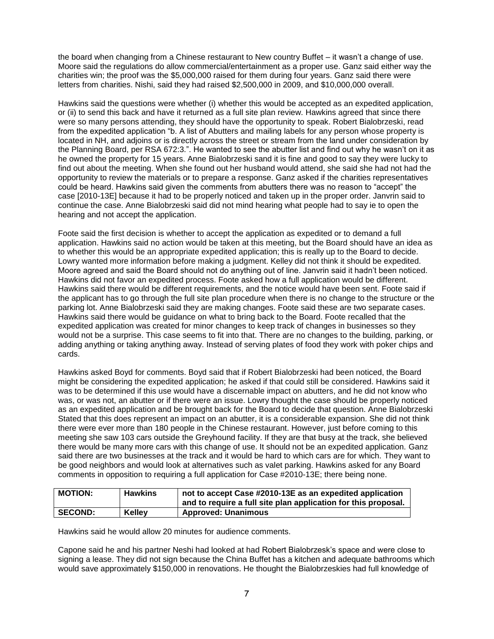the board when changing from a Chinese restaurant to New country Buffet – it wasn't a change of use. Moore said the regulations do allow commercial/entertainment as a proper use. Ganz said either way the charities win; the proof was the \$5,000,000 raised for them during four years. Ganz said there were letters from charities. Nishi, said they had raised \$2,500,000 in 2009, and \$10,000,000 overall.

Hawkins said the questions were whether (i) whether this would be accepted as an expedited application, or (ii) to send this back and have it returned as a full site plan review. Hawkins agreed that since there were so many persons attending, they should have the opportunity to speak. Robert Bialobrzeski, read from the expedited application "b. A list of Abutters and mailing labels for any person whose property is located in NH, and adjoins or is directly across the street or stream from the land under consideration by the Planning Board, per RSA 672:3.". He wanted to see the abutter list and find out why he wasn't on it as he owned the property for 15 years. Anne Bialobrzeski sand it is fine and good to say they were lucky to find out about the meeting. When she found out her husband would attend, she said she had not had the opportunity to review the materials or to prepare a response. Ganz asked if the charities representatives could be heard. Hawkins said given the comments from abutters there was no reason to "accept" the case [2010-13E] because it had to be properly noticed and taken up in the proper order. Janvrin said to continue the case. Anne Bialobrzeski said did not mind hearing what people had to say ie to open the hearing and not accept the application.

Foote said the first decision is whether to accept the application as expedited or to demand a full application. Hawkins said no action would be taken at this meeting, but the Board should have an idea as to whether this would be an appropriate expedited application; this is really up to the Board to decide. Lowry wanted more information before making a judgment. Kelley did not think it should be expedited. Moore agreed and said the Board should not do anything out of line. Janvrin said it hadn't been noticed. Hawkins did not favor an expedited process. Foote asked how a full application would be different. Hawkins said there would be different requirements, and the notice would have been sent. Foote said if the applicant has to go through the full site plan procedure when there is no change to the structure or the parking lot. Anne Bialobrzeski said they are making changes. Foote said these are two separate cases. Hawkins said there would be guidance on what to bring back to the Board. Foote recalled that the expedited application was created for minor changes to keep track of changes in businesses so they would not be a surprise. This case seems to fit into that. There are no changes to the building, parking, or adding anything or taking anything away. Instead of serving plates of food they work with poker chips and cards.

Hawkins asked Boyd for comments. Boyd said that if Robert Bialobrzeski had been noticed, the Board might be considering the expedited application; he asked if that could still be considered. Hawkins said it was to be determined if this use would have a discernable impact on abutters, and he did not know who was, or was not, an abutter or if there were an issue. Lowry thought the case should be properly noticed as an expedited application and be brought back for the Board to decide that question. Anne Bialobrzeski Stated that this does represent an impact on an abutter, it is a considerable expansion. She did not think there were ever more than 180 people in the Chinese restaurant. However, just before coming to this meeting she saw 103 cars outside the Greyhound facility. If they are that busy at the track, she believed there would be many more cars with this change of use. It should not be an expedited application. Ganz said there are two businesses at the track and it would be hard to which cars are for which. They want to be good neighbors and would look at alternatives such as valet parking. Hawkins asked for any Board comments in opposition to requiring a full application for Case #2010-13E; there being none.

| <b>MOTION:</b> | <b>Hawkins</b> | not to accept Case #2010-13E as an expedited application<br>and to require a full site plan application for this proposal. |
|----------------|----------------|----------------------------------------------------------------------------------------------------------------------------|
| <b>SECOND:</b> | <b>Kellev</b>  | <b>Approved: Unanimous</b>                                                                                                 |

Hawkins said he would allow 20 minutes for audience comments.

Capone said he and his partner Neshi had looked at had Robert Bialobrzesk's space and were close to signing a lease. They did not sign because the China Buffet has a kitchen and adequate bathrooms which would save approximately \$150,000 in renovations. He thought the Bialobrzeskies had full knowledge of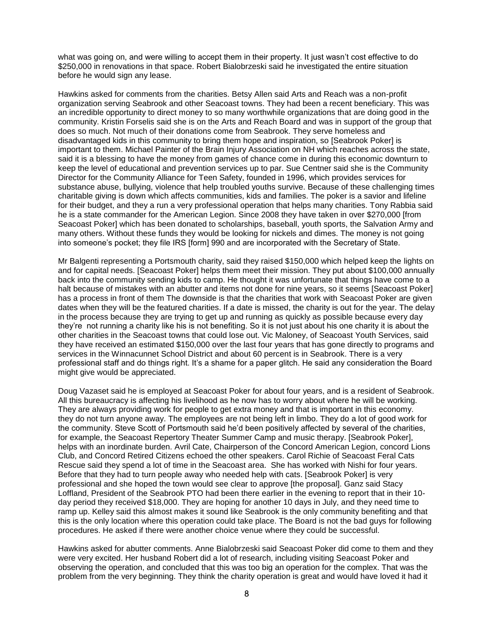what was going on, and were willing to accept them in their property. It just wasn't cost effective to do \$250,000 in renovations in that space. Robert Bialobrzeski said he investigated the entire situation before he would sign any lease.

Hawkins asked for comments from the charities. Betsy Allen said Arts and Reach was a non-profit organization serving Seabrook and other Seacoast towns. They had been a recent beneficiary. This was an incredible opportunity to direct money to so many worthwhile organizations that are doing good in the community. Kristin Forselis said she is on the Arts and Reach Board and was in support of the group that does so much. Not much of their donations come from Seabrook. They serve homeless and disadvantaged kids in this community to bring them hope and inspiration, so [Seabrook Poker] is important to them. Michael Painter of the Brain Injury Association on NH which reaches across the state, said it is a blessing to have the money from games of chance come in during this economic downturn to keep the level of educational and prevention services up to par. Sue Centner said she is the Community Director for the Community Alliance for Teen Safety, founded in 1996, which provides services for substance abuse, bullying, violence that help troubled youths survive. Because of these challenging times charitable giving is down which affects communities, kids and families. The poker is a savior and lifeline for their budget, and they a run a very professional operation that helps many charities. Tony Rabbia said he is a state commander for the American Legion. Since 2008 they have taken in over \$270,000 [from Seacoast Poker] which has been donated to scholarships, baseball, youth sports, the Salvation Army and many others. Without these funds they would be looking for nickels and dimes. The money is not going into someone's pocket; they file IRS [form] 990 and are incorporated with the Secretary of State.

Mr Balgenti representing a Portsmouth charity, said they raised \$150,000 which helped keep the lights on and for capital needs. [Seacoast Poker] helps them meet their mission. They put about \$100,000 annually back into the community sending kids to camp. He thought it was unfortunate that things have come to a halt because of mistakes with an abutter and items not done for nine years, so it seems [Seacoast Poker] has a process in front of them The downside is that the charities that work with Seacoast Poker are given dates when they will be the featured charities. If a date is missed, the charity is out for the year. The delay in the process because they are trying to get up and running as quickly as possible because every day they're not running a charity like his is not benefiting. So it is not just about his one charity it is about the other charities in the Seacoast towns that could lose out. Vic Maloney, of Seacoast Youth Services, said they have received an estimated \$150,000 over the last four years that has gone directly to programs and services in the Winnacunnet School District and about 60 percent is in Seabrook. There is a very professional staff and do things right. It's a shame for a paper glitch. He said any consideration the Board might give would be appreciated.

Doug Vazaset said he is employed at Seacoast Poker for about four years, and is a resident of Seabrook. All this bureaucracy is affecting his livelihood as he now has to worry about where he will be working. They are always providing work for people to get extra money and that is important in this economy. they do not turn anyone away. The employees are not being left in limbo. They do a lot of good work for the community. Steve Scott of Portsmouth said he'd been positively affected by several of the charities, for example, the Seacoast Repertory Theater Summer Camp and music therapy. [Seabrook Poker], helps with an inordinate burden. Avril Cate, Chairperson of the Concord American Legion, concord Lions Club, and Concord Retired Citizens echoed the other speakers. Carol Richie of Seacoast Feral Cats Rescue said they spend a lot of time in the Seacoast area. She has worked with Nishi for four years. Before that they had to turn people away who needed help with cats. [Seabrook Poker] is very professional and she hoped the town would see clear to approve [the proposal]. Ganz said Stacy Loffland, President of the Seabrook PTO had been there earlier in the evening to report that in their 10 day period they received \$18,000. They are hoping for another 10 days in July, and they need time to ramp up. Kelley said this almost makes it sound like Seabrook is the only community benefiting and that this is the only location where this operation could take place. The Board is not the bad guys for following procedures. He asked if there were another choice venue where they could be successful.

Hawkins asked for abutter comments. Anne Bialobrzeski said Seacoast Poker did come to them and they were very excited. Her husband Robert did a lot of research, including visiting Seacoast Poker and observing the operation, and concluded that this was too big an operation for the complex. That was the problem from the very beginning. They think the charity operation is great and would have loved it had it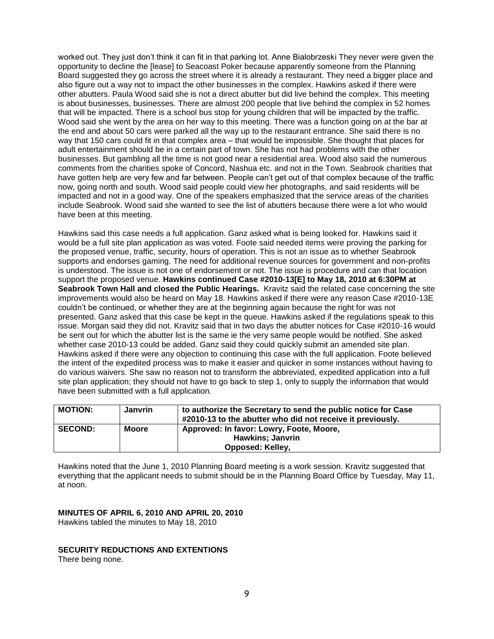worked out. They just don't think it can fit in that parking lot. Anne Bialobrzeski They never were given the opportunity to decline the [lease] to Seacoast Poker because apparently someone from the Planning Board suggested they go across the street where it is already a restaurant. They need a bigger place and also figure out a way not to impact the other businesses in the complex. Hawkins asked if there were other abutters. Paula Wood said she is not a direct abutter but did live behind the complex. This meeting is about businesses, businesses. There are almost 200 people that live behind the complex in 52 homes that will be impacted. There is a school bus stop for young children that will be impacted by the traffic. Wood said she went by the area on her way to this meeting. There was a function going on at the bar at the end and about 50 cars were parked all the way up to the restaurant entrance. She said there is no way that 150 cars could fit in that complex area – that would be impossible. She thought that places for adult entertainment should be in a certain part of town. She has not had problems with the other businesses. But gambling all the time is not good near a residential area. Wood also said the numerous comments from the charities spoke of Concord, Nashua etc. and not in the Town. Seabrook charities that have gotten help are very few and far between. People can't get out of that complex because of the traffic now, going north and south. Wood said people could view her photographs, and said residents will be impacted and not in a good way. One of the speakers emphasized that the service areas of the charities include Seabrook. Wood said she wanted to see the list of abutters because there were a lot who would have been at this meeting.

Hawkins said this case needs a full application. Ganz asked what is being looked for. Hawkins said it would be a full site plan application as was voted. Foote said needed items were proving the parking for the proposed venue, traffic, security, hours of operation. This is not an issue as to whether Seabrook supports and endorses gaming. The need for additional revenue sources for government and non-profits is understood. The issue is not one of endorsement or not. The issue is procedure and can that location support the proposed venue. **Hawkins continued Case #2010-13[E] to May 18, 2010 at 6:30PM at Seabrook Town Hall and closed the Public Hearings.** Kravitz said the related case concerning the site improvements would also be heard on May 18. Hawkins asked if there were any reason Case #2010-13E couldn't be continued, or whether they are at the beginning again because the right for was not presented. Ganz asked that this case be kept in the queue. Hawkins asked if the regulations speak to this issue. Morgan said they did not. Kravitz said that in two days the abutter notices for Case #2010-16 would be sent out for which the abutter list is the same ie the very same people would be notified. She asked whether case 2010-13 could be added. Ganz said they could quickly submit an amended site plan. Hawkins asked if there were any objection to continuing this case with the full application. Foote believed the intent of the expedited process was to make it easier and quicker in some instances without having to do various waivers. She saw no reason not to transform the abbreviated, expedited application into a full site plan application; they should not have to go back to step 1, only to supply the information that would have been submitted with a full application.

| <b>MOTION:</b> | <b>Janvrin</b> | to authorize the Secretary to send the public notice for Case<br>#2010-13 to the abutter who did not receive it previously. |
|----------------|----------------|-----------------------------------------------------------------------------------------------------------------------------|
| <b>SECOND:</b> | Moore          | Approved: In favor: Lowry, Foote, Moore,<br><b>Hawkins</b> ; Janvrin<br><b>Opposed: Kelley,</b>                             |

Hawkins noted that the June 1, 2010 Planning Board meeting is a work session. Kravitz suggested that everything that the applicant needs to submit should be in the Planning Board Office by Tuesday, May 11, at noon.

#### **MINUTES OF APRIL 6, 2010 AND APRIL 20, 2010**

Hawkins tabled the minutes to May 18, 2010

#### **SECURITY REDUCTIONS AND EXTENTIONS**

There being none.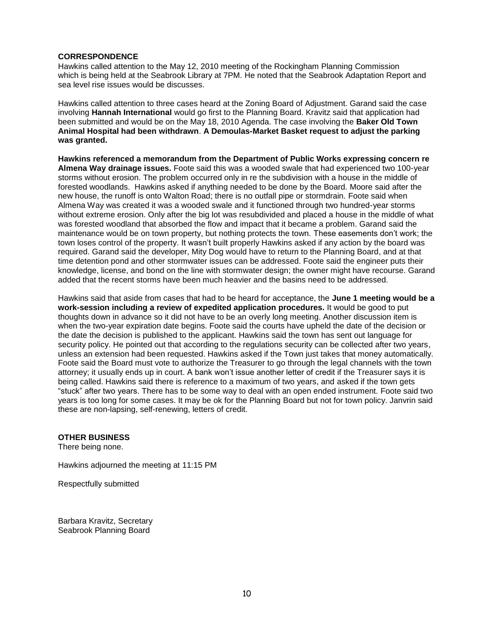#### **CORRESPONDENCE**

Hawkins called attention to the May 12, 2010 meeting of the Rockingham Planning Commission which is being held at the Seabrook Library at 7PM. He noted that the Seabrook Adaptation Report and sea level rise issues would be discusses.

Hawkins called attention to three cases heard at the Zoning Board of Adjustment. Garand said the case involving **Hannah International** would go first to the Planning Board. Kravitz said that application had been submitted and would be on the May 18, 2010 Agenda. The case involving the **Baker Old Town Animal Hospital had been withdrawn**. **A Demoulas-Market Basket request to adjust the parking was granted.** 

**Hawkins referenced a memorandum from the Department of Public Works expressing concern re Almena Way drainage issues.** Foote said this was a wooded swale that had experienced two 100-year storms without erosion. The problem occurred only in re the subdivision with a house in the middle of forested woodlands. Hawkins asked if anything needed to be done by the Board. Moore said after the new house, the runoff is onto Walton Road; there is no outfall pipe or stormdrain. Foote said when Almena Way was created it was a wooded swale and it functioned through two hundred-year storms without extreme erosion. Only after the big lot was resubdivided and placed a house in the middle of what was forested woodland that absorbed the flow and impact that it became a problem. Garand said the maintenance would be on town property, but nothing protects the town. These easements don't work; the town loses control of the property. It wasn't built properly Hawkins asked if any action by the board was required. Garand said the developer, Mity Dog would have to return to the Planning Board, and at that time detention pond and other stormwater issues can be addressed. Foote said the engineer puts their knowledge, license, and bond on the line with stormwater design; the owner might have recourse. Garand added that the recent storms have been much heavier and the basins need to be addressed.

Hawkins said that aside from cases that had to be heard for acceptance, the **June 1 meeting would be a work-session including a review of expedited application procedures.** It would be good to put thoughts down in advance so it did not have to be an overly long meeting. Another discussion item is when the two-year expiration date begins. Foote said the courts have upheld the date of the decision or the date the decision is published to the applicant. Hawkins said the town has sent out language for security policy. He pointed out that according to the regulations security can be collected after two years, unless an extension had been requested. Hawkins asked if the Town just takes that money automatically. Foote said the Board must vote to authorize the Treasurer to go through the legal channels with the town attorney; it usually ends up in court. A bank won't issue another letter of credit if the Treasurer says it is being called. Hawkins said there is reference to a maximum of two years, and asked if the town gets "stuck" after two years. There has to be some way to deal with an open ended instrument. Foote said two years is too long for some cases. It may be ok for the Planning Board but not for town policy. Janvrin said these are non-lapsing, self-renewing, letters of credit.

#### **OTHER BUSINESS**

There being none.

Hawkins adjourned the meeting at 11:15 PM

Respectfully submitted

Barbara Kravitz, Secretary Seabrook Planning Board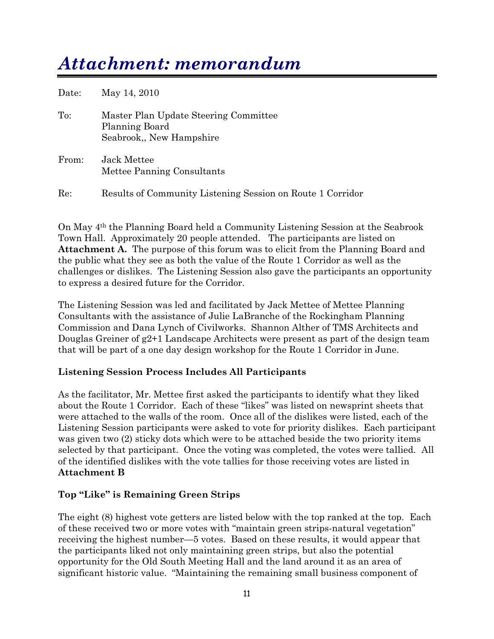# *Attachment: memorandum*

| Date: | May 14, 2010                                                                       |
|-------|------------------------------------------------------------------------------------|
| To:   | Master Plan Update Steering Committee<br>Planning Board<br>Seabrook, New Hampshire |
| From: | Jack Mettee<br>Mettee Panning Consultants                                          |
| Re:   | Results of Community Listening Session on Route 1 Corridor                         |

On May 4th the Planning Board held a Community Listening Session at the Seabrook Town Hall. Approximately 20 people attended. The participants are listed on **Attachment A.** The purpose of this forum was to elicit from the Planning Board and the public what they see as both the value of the Route 1 Corridor as well as the challenges or dislikes. The Listening Session also gave the participants an opportunity to express a desired future for the Corridor.

The Listening Session was led and facilitated by Jack Mettee of Mettee Planning Consultants with the assistance of Julie LaBranche of the Rockingham Planning Commission and Dana Lynch of Civilworks. Shannon Alther of TMS Architects and Douglas Greiner of g2+1 Landscape Architects were present as part of the design team that will be part of a one day design workshop for the Route 1 Corridor in June.

## **Listening Session Process Includes All Participants**

As the facilitator, Mr. Mettee first asked the participants to identify what they liked about the Route 1 Corridor. Each of these "likes" was listed on newsprint sheets that were attached to the walls of the room. Once all of the dislikes were listed, each of the Listening Session participants were asked to vote for priority dislikes. Each participant was given two (2) sticky dots which were to be attached beside the two priority items selected by that participant. Once the voting was completed, the votes were tallied. All of the identified dislikes with the vote tallies for those receiving votes are listed in **Attachment B**

## **Top "Like" is Remaining Green Strips**

The eight (8) highest vote getters are listed below with the top ranked at the top. Each of these received two or more votes with "maintain green strips-natural vegetation" receiving the highest number—5 votes. Based on these results, it would appear that the participants liked not only maintaining green strips, but also the potential opportunity for the Old South Meeting Hall and the land around it as an area of significant historic value. "Maintaining the remaining small business component of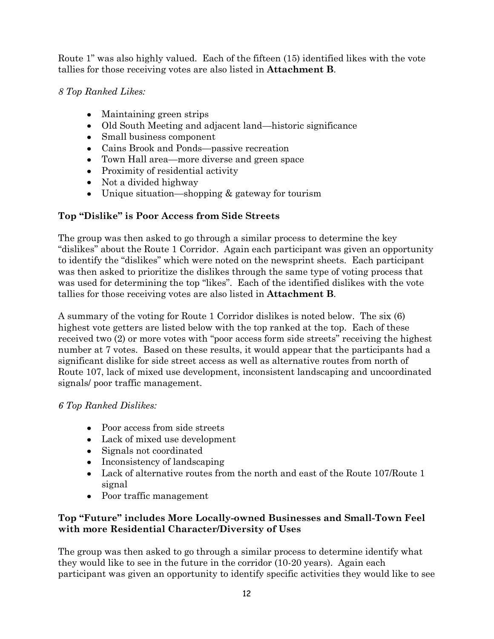Route 1" was also highly valued. Each of the fifteen (15) identified likes with the vote tallies for those receiving votes are also listed in **Attachment B**.

*8 Top Ranked Likes:*

- Maintaining green strips
- Old South Meeting and adjacent land—historic significance
- Small business component
- Cains Brook and Ponds—passive recreation
- Town Hall area—more diverse and green space
- Proximity of residential activity
- Not a divided highway
- Unique situation—shopping & gateway for tourism

# **Top "Dislike" is Poor Access from Side Streets**

The group was then asked to go through a similar process to determine the key ―dislikes‖ about the Route 1 Corridor. Again each participant was given an opportunity to identify the "dislikes" which were noted on the newsprint sheets. Each participant was then asked to prioritize the dislikes through the same type of voting process that was used for determining the top "likes". Each of the identified dislikes with the vote tallies for those receiving votes are also listed in **Attachment B**.

A summary of the voting for Route 1 Corridor dislikes is noted below. The six (6) highest vote getters are listed below with the top ranked at the top. Each of these received two (2) or more votes with "poor access form side streets" receiving the highest number at 7 votes. Based on these results, it would appear that the participants had a significant dislike for side street access as well as alternative routes from north of Route 107, lack of mixed use development, inconsistent landscaping and uncoordinated signals/ poor traffic management.

## *6 Top Ranked Dislikes:*

- Poor access from side streets
- Lack of mixed use development
- Signals not coordinated
- Inconsistency of landscaping
- Lack of alternative routes from the north and east of the Route 107/Route 1 signal
- Poor traffic management

## **Top "Future" includes More Locally-owned Businesses and Small-Town Feel with more Residential Character/Diversity of Uses**

The group was then asked to go through a similar process to determine identify what they would like to see in the future in the corridor (10-20 years). Again each participant was given an opportunity to identify specific activities they would like to see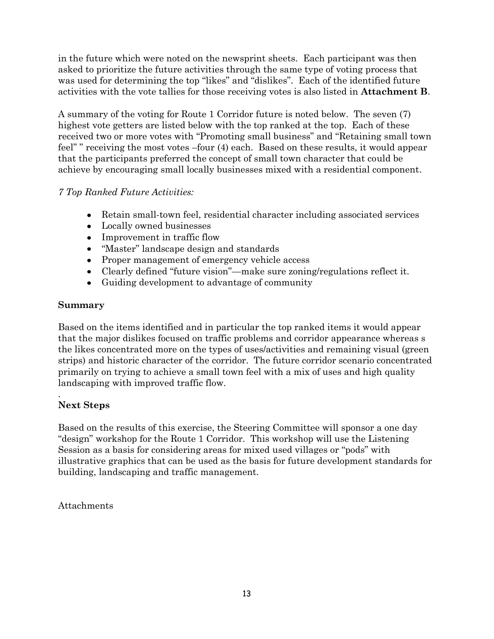in the future which were noted on the newsprint sheets. Each participant was then asked to prioritize the future activities through the same type of voting process that was used for determining the top "likes" and "dislikes". Each of the identified future activities with the vote tallies for those receiving votes is also listed in **Attachment B**.

A summary of the voting for Route 1 Corridor future is noted below. The seven (7) highest vote getters are listed below with the top ranked at the top. Each of these received two or more votes with "Promoting small business" and "Retaining small town feel" receiving the most votes –four (4) each. Based on these results, it would appear that the participants preferred the concept of small town character that could be achieve by encouraging small locally businesses mixed with a residential component.

## *7 Top Ranked Future Activities:*

- Retain small-town feel, residential character including associated services
- Locally owned businesses
- Improvement in traffic flow
- "Master" landscape design and standards
- Proper management of emergency vehicle access
- Clearly defined "future vision"—make sure zoning/regulations reflect it.
- Guiding development to advantage of community

## **Summary**

Based on the items identified and in particular the top ranked items it would appear that the major dislikes focused on traffic problems and corridor appearance whereas s the likes concentrated more on the types of uses/activities and remaining visual (green strips) and historic character of the corridor. The future corridor scenario concentrated primarily on trying to achieve a small town feel with a mix of uses and high quality landscaping with improved traffic flow.

#### . **Next Steps**

Based on the results of this exercise, the Steering Committee will sponsor a one day "design" workshop for the Route 1 Corridor. This workshop will use the Listening Session as a basis for considering areas for mixed used villages or "pods" with illustrative graphics that can be used as the basis for future development standards for building, landscaping and traffic management.

## Attachments